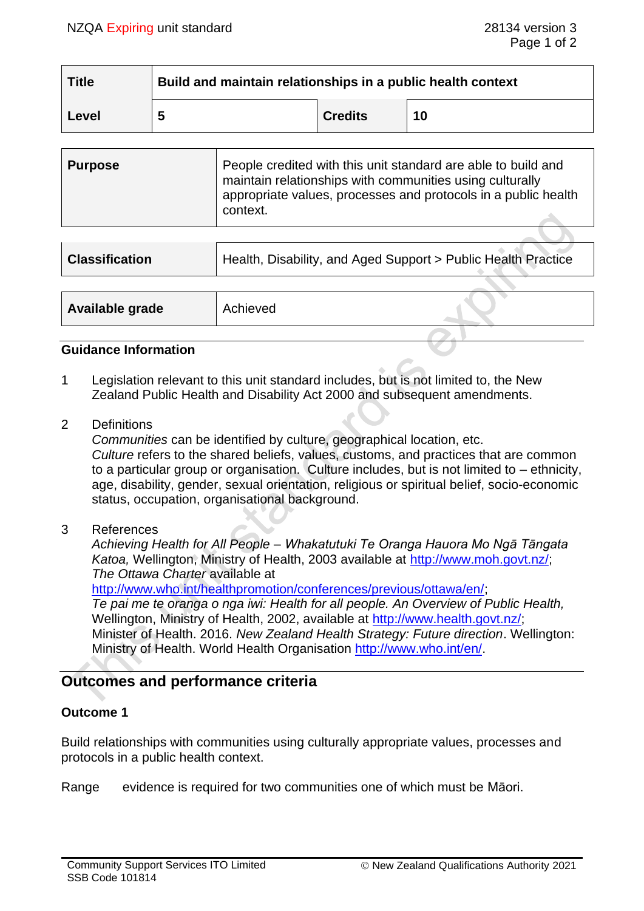| <b>Title</b> | Build and maintain relationships in a public health context |                |    |
|--------------|-------------------------------------------------------------|----------------|----|
| Level        | 5                                                           | <b>Credits</b> | 10 |

| <b>Purpose</b> | People credited with this unit standard are able to build and<br>maintain relationships with communities using culturally<br>appropriate values, processes and protocols in a public health<br>context. |
|----------------|---------------------------------------------------------------------------------------------------------------------------------------------------------------------------------------------------------|
|----------------|---------------------------------------------------------------------------------------------------------------------------------------------------------------------------------------------------------|

| <b>Classification</b> | Health, Disability, and Aged Support > Public Health Practice |  |
|-----------------------|---------------------------------------------------------------|--|
|                       |                                                               |  |
| Available grade       | Achieved                                                      |  |

#### **Guidance Information**

- 1 Legislation relevant to this unit standard includes, but is not limited to, the New Zealand Public Health and Disability Act 2000 and subsequent amendments.
- 2 Definitions

*Communities* can be identified by culture, geographical location, etc. *Culture* refers to the shared beliefs, values, customs, and practices that are common to a particular group or organisation. Culture includes, but is not limited to – ethnicity, age, disability, gender, sexual orientation, religious or spiritual belief, socio-economic status, occupation, organisational background.

3 References

*Achieving Health for All People – Whakatutuki Te Oranga Hauora Mo Ngā Tāngata Katoa,* Wellington, Ministry of Health, 2003 available at [http://www.moh.govt.nz/;](http://www.moh.govt.nz/) *The Ottawa Charter* available at

[http://www.who.int/healthpromotion/conferences/previous/ottawa/en/;](http://www.who.int/healthpromotion/conferences/previous/ottawa/en/)

*Te pai me te oranga o nga iwi: Health for all people. An Overview of Public Health,* Wellington, Ministry of Health, 2002, available at [http://www.health.govt.nz/;](http://www.health.govt.nz/) Minister of Health. 2016. *New Zealand Health Strategy: Future direction*. Wellington: Ministry of Health. World Health Organisation [http://www.who.int/en/.](http://www.who.int/en/)

## **Outcomes and performance criteria**

### **Outcome 1**

Build relationships with communities using culturally appropriate values, processes and protocols in a public health context.

Range evidence is required for two communities one of which must be Māori.